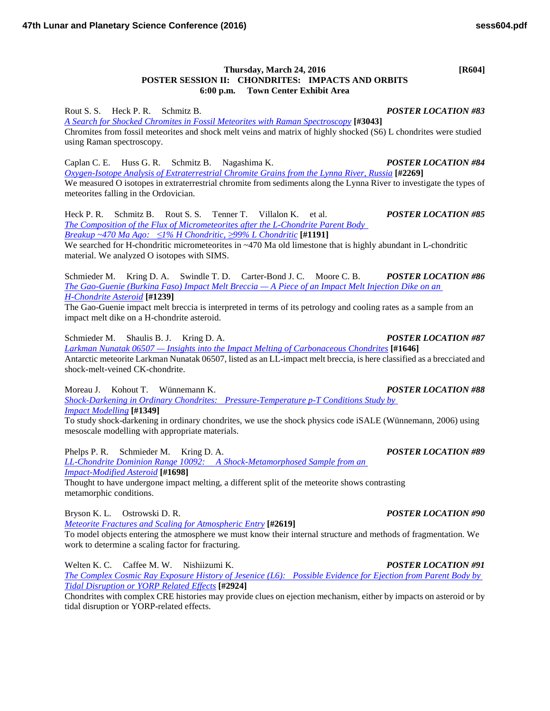## **Thursday, March 24, 2016 [R604] POSTER SESSION II: CHONDRITES: IMPACTS AND ORBITS 6:00 p.m. Town Center Exhibit Area**

Rout S. S. Heck P. R. Schmitz B. *POSTER LOCATION #83 [A Search for Shocked Chromites in Fossil Meteorites with Raman](http://www.hou.usra.edu/meetings/lpsc2016/pdf/3043.pdf) Spectroscopy* **[#3043]** Chromites from fossil meteorites and shock melt veins and matrix of highly shocked (S6) L chondrites were studied using Raman spectroscopy.

Caplan C. E. Huss G. R. Schmitz B. Nagashima K. *POSTER LOCATION #84 [Oxygen-Isotope Analysis of Extraterrestrial Chromite Grains from the Lynna River,](http://www.hou.usra.edu/meetings/lpsc2016/pdf/2269.pdf) Russia* **[#2269]** We measured O isotopes in extraterrestrial chromite from sediments along the Lynna River to investigate the types of meteorites falling in the Ordovician.

Heck P. R. Schmitz B. Rout S. S. Tenner T. Villalon K. et al. *POSTER LOCATION #85 [The Composition of the Flux of Micrometeorites after the L-Chondrite Parent Body](http://www.hou.usra.edu/meetings/lpsc2016/pdf/1191.pdf)  [Breakup ~470 Ma Ago:](http://www.hou.usra.edu/meetings/lpsc2016/pdf/1191.pdf) ≤1% H Chondritic, ≥99% L Chondritic* **[#1191]**

We searched for H-chondritic micrometeorites in ~470 Ma old limestone that is highly abundant in L-chondritic material. We analyzed O isotopes with SIMS.

Schmieder M. Kring D. A. Swindle T. D. Carter-Bond J. C. Moore C. B. *POSTER LOCATION #86 [The Gao-Guenie \(Burkina Faso\) Impact Melt Breccia —](http://www.hou.usra.edu/meetings/lpsc2016/pdf/1239.pdf) A Piece of an Impact Melt Injection Dike on an [H-Chondrite](http://www.hou.usra.edu/meetings/lpsc2016/pdf/1239.pdf) Asteroid* **[#1239]**

The Gao-Guenie impact melt breccia is interpreted in terms of its petrology and cooling rates as a sample from an impact melt dike on a H-chondrite asteroid.

Schmieder M. Shaulis B. J. Kring D. A. *POSTER LOCATION #87 Larkman Nunatak 06507 — [Insights into the Impact Melting of Carbonaceous](http://www.hou.usra.edu/meetings/lpsc2016/pdf/1646.pdf) Chondrites* **[#1646]** Antarctic meteorite Larkman Nunatak 06507, listed as an LL-impact melt breccia, is here classified as a brecciated and shock-melt-veined CK-chondrite.

Moreau J. Kohout T. Wünnemann K. *POSTER LOCATION #88*

*[Shock-Darkening in Ordinary Chondrites: Pressure-Temperature p-T Conditions Study by](http://www.hou.usra.edu/meetings/lpsc2016/pdf/1349.pdf)  Impact [Modelling](http://www.hou.usra.edu/meetings/lpsc2016/pdf/1349.pdf)* **[#1349]**

To study shock-darkening in ordinary chondrites, we use the shock physics code iSALE (Wünnemann, 2006) using mesoscale modelling with appropriate materials.

Phelps P. R. Schmieder M. Kring D. A. *POSTER LOCATION #89 [LL-Chondrite Dominion Range 10092: A Shock-Metamorphosed Sample from an](http://www.hou.usra.edu/meetings/lpsc2016/pdf/1698.pdf)  [Impact-Modified](http://www.hou.usra.edu/meetings/lpsc2016/pdf/1698.pdf) Asteroid* **[#1698]** Thought to have undergone impact melting, a different split of the meteorite shows contrasting

metamorphic conditions.

Bryson K. L. Ostrowski D. R. *POSTER LOCATION #90*

*[Meteorite Fractures and Scaling for Atmospheric](http://www.hou.usra.edu/meetings/lpsc2016/pdf/2619.pdf) Entry* **[#2619]**

To model objects entering the atmosphere we must know their internal structure and methods of fragmentation. We work to determine a scaling factor for fracturing.

Welten K. C. Caffee M. W. Nishiizumi K. *POSTER LOCATION #91 [The Complex Cosmic Ray Exposure History of Jesenice \(L6\): Possible Evidence for Ejection from Parent Body by](http://www.hou.usra.edu/meetings/lpsc2016/pdf/2924.pdf)  [Tidal Disruption or YORP Related](http://www.hou.usra.edu/meetings/lpsc2016/pdf/2924.pdf) Effects* **[#2924]**

Chondrites with complex CRE histories may provide clues on ejection mechanism, either by impacts on asteroid or by tidal disruption or YORP-related effects.